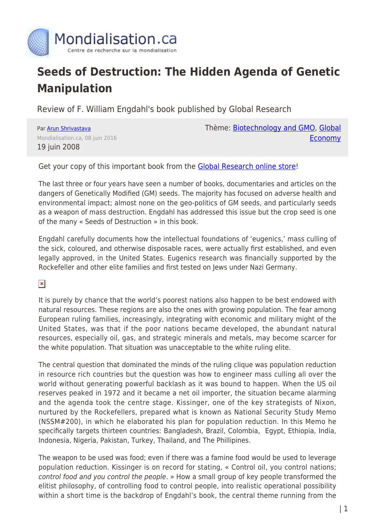

## **Seeds of Destruction: The Hidden Agenda of Genetic Manipulation**

Review of F. William Engdahl's book published by Global Research

Par [Arun Shrivastava](https://www.mondialisation.ca/author/arun-shrivastava) Mondialisation.ca, 08 juin 2016 19 juin 2008

Thème: [Biotechnology and GMO](https://www.mondialisation.ca/theme/biotechnology-and-gmo), [Global](https://www.mondialisation.ca/theme/global-economy) **[Economy](https://www.mondialisation.ca/theme/global-economy)** 

Get your copy of this important book from the [Global Research online store!](https://store.globalresearch.ca/store/seeds-of-destruction/)

The last three or four years have seen a number of books, documentaries and articles on the dangers of Genetically Modified (GM) seeds. The majority has focused on adverse health and environmental impact; almost none on the geo-politics of GM seeds, and particularly seeds as a weapon of mass destruction. Engdahl has addressed this issue but the crop seed is one of the many « Seeds of Destruction » in this book.

Engdahl carefully documents how the intellectual foundations of 'eugenics,' mass culling of the sick, coloured, and otherwise disposable races, were actually first established, and even legally approved, in the United States. Eugenics research was financially supported by the Rockefeller and other elite families and first tested on Jews under Nazi Germany.

 $\pmb{\times}$ 

It is purely by chance that the world's poorest nations also happen to be best endowed with natural resources. These regions are also the ones with growing population. The fear among European ruling families, increasingly, integrating with economic and military might of the United States, was that if the poor nations became developed, the abundant natural resources, especially oil, gas, and strategic minerals and metals, may become scarcer for the white population. That situation was unacceptable to the white ruling elite.

The central question that dominated the minds of the ruling clique was population reduction in resource rich countries but the question was how to engineer mass culling all over the world without generating powerful backlash as it was bound to happen. When the US oil reserves peaked in 1972 and it became a net oil importer, the situation became alarming and the agenda took the centre stage. Kissinger, one of the key strategists of Nixon, nurtured by the Rockefellers, prepared what is known as National Security Study Memo (NSSM#200), in which he elaborated his plan for population reduction. In this Memo he specifically targets thirteen countries: Bangladesh, Brazil, Colombia, Egypt, Ethiopia, India, Indonesia, Nigeria, Pakistan, Turkey, Thailand, and The Phillipines.

The weapon to be used was food; even if there was a famine food would be used to leverage population reduction. Kissinger is on record for stating, « Control oil, you control nations; control food and you control the people. » How a small group of key people transformed the elitist philosophy, of controlling food to control people, into realistic operational possibility within a short time is the backdrop of Engdahl's book, the central theme running from the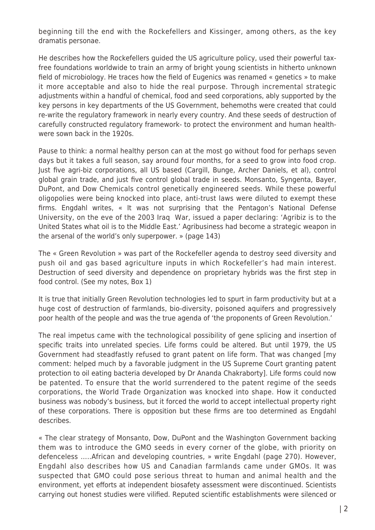beginning till the end with the Rockefellers and Kissinger, among others, as the key dramatis personae.

He describes how the Rockefellers guided the US agriculture policy, used their powerful taxfree foundations worldwide to train an army of bright young scientists in hitherto unknown field of microbiology. He traces how the field of Eugenics was renamed « genetics » to make it more acceptable and also to hide the real purpose. Through incremental strategic adjustments within a handful of chemical, food and seed corporations, ably supported by the key persons in key departments of the US Government, behemoths were created that could re-write the regulatory framework in nearly every country. And these seeds of destruction of carefully constructed regulatory framework- to protect the environment and human healthwere sown back in the 1920s.

Pause to think: a normal healthy person can at the most go without food for perhaps seven days but it takes a full season, say around four months, for a seed to grow into food crop. Just five agri-biz corporations, all US based (Cargill, Bunge, Archer Daniels, et al), control global grain trade, and just five control global trade in seeds. Monsanto, Syngenta, Bayer, DuPont, and Dow Chemicals control genetically engineered seeds. While these powerful oligopolies were being knocked into place, anti-trust laws were diluted to exempt these firms. Engdahl writes, « It was not surprising that the Pentagon's National Defense University, on the eve of the 2003 Iraq War, issued a paper declaring: 'Agribiz is to the United States what oil is to the Middle East.' Agribusiness had become a strategic weapon in the arsenal of the world's only superpower. » (page 143)

The « Green Revolution » was part of the Rockefeller agenda to destroy seed diversity and push oil and gas based agriculture inputs in which Rockefeller's had main interest. Destruction of seed diversity and dependence on proprietary hybrids was the first step in food control. (See my notes, Box 1)

It is true that initially Green Revolution technologies led to spurt in farm productivity but at a huge cost of destruction of farmlands, bio-diversity, poisoned aquifers and progressively poor health of the people and was the true agenda of 'the proponents of Green Revolution.'

The real impetus came with the technological possibility of gene splicing and insertion of specific traits into unrelated species. Life forms could be altered. But until 1979, the US Government had steadfastly refused to grant patent on life form. That was changed [my comment: helped much by a favorable judgment in the US Supreme Court granting patent protection to oil eating bacteria developed by Dr Ananda Chakraborty]. Life forms could now be patented. To ensure that the world surrendered to the patent regime of the seeds corporations, the World Trade Organization was knocked into shape. How it conducted business was nobody's business, but it forced the world to accept intellectual property right of these corporations. There is opposition but these firms are too determined as Engdahl describes.

« The clear strategy of Monsanto, Dow, DuPont and the Washington Government backing them was to introduce the GMO seeds in every corner of the globe, with priority on defenceless …..African and developing countries, » write Engdahl (page 270). However, Engdahl also describes how US and Canadian farmlands came under GMOs. It was suspected that GMO could pose serious threat to human and animal health and the environment, yet efforts at independent biosafety assessment were discontinued. Scientists carrying out honest studies were vilified. Reputed scientific establishments were silenced or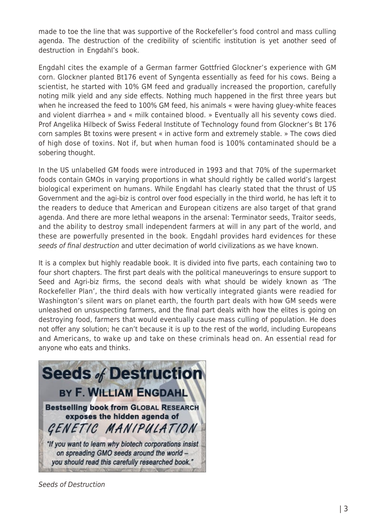made to toe the line that was supportive of the Rockefeller's food control and mass culling agenda. The destruction of the credibility of scientific institution is yet another seed of destruction in Engdahl's book.

Engdahl cites the example of a German farmer Gottfried Glockner's experience with GM corn. Glockner planted Bt176 event of Syngenta essentially as feed for his cows. Being a scientist, he started with 10% GM feed and gradually increased the proportion, carefully noting milk yield and any side effects. Nothing much happened in the first three years but when he increased the feed to 100% GM feed, his animals « were having gluey-white feaces and violent diarrhea » and « milk contained blood. » Eventually all his seventy cows died. Prof Angelika Hilbeck of Swiss Federal Institute of Technology found from Glockner's Bt 176 corn samples Bt toxins were present « in active form and extremely stable. » The cows died of high dose of toxins. Not if, but when human food is 100% contaminated should be a sobering thought.

In the US unlabelled GM foods were introduced in 1993 and that 70% of the supermarket foods contain GMOs in varying proportions in what should rightly be called world's largest biological experiment on humans. While Engdahl has clearly stated that the thrust of US Government and the agi-biz is control over food especially in the third world, he has left it to the readers to deduce that American and European citizens are also target of that grand agenda. And there are more lethal weapons in the arsenal: Terminator seeds, Traitor seeds, and the ability to destroy small independent farmers at will in any part of the world, and these are powerfully presented in the book. Engdahl provides hard evidences for these seeds of final destruction and utter decimation of world civilizations as we have known.

It is a complex but highly readable book. It is divided into five parts, each containing two to four short chapters. The first part deals with the political maneuverings to ensure support to Seed and Agri-biz firms, the second deals with what should be widely known as 'The Rockefeller Plan', the third deals with how vertically integrated giants were readied for Washington's silent wars on planet earth, the fourth part deals with how GM seeds were unleashed on unsuspecting farmers, and the final part deals with how the elites is going on destroying food, farmers that would eventually cause mass culling of population. He does not offer any solution; he can't because it is up to the rest of the world, including Europeans and Americans, to wake up and take on these criminals head on. An essential read for anyone who eats and thinks.



Seeds of Destruction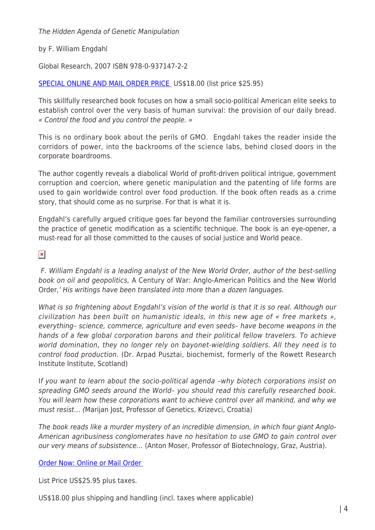The Hidden Agenda of Genetic Manipulation

by F. William Engdahl

Global Research, 2007 ISBN 978-0-937147-2-2

## [SPECIAL ONLINE AND MAIL ORDER PRICE](https://store.globalresearch.ca/store/seeds-of-destruction/) US\$18.00 (list price \$25.95)

This skillfully researched book focuses on how a small socio-political American elite seeks to establish control over the very basis of human survival: the provision of our daily bread. « Control the food and you control the people. »

This is no ordinary book about the perils of GMO. Engdahl takes the reader inside the corridors of power, into the backrooms of the science labs, behind closed doors in the corporate boardrooms.

The author cogently reveals a diabolical World of profit-driven political intrigue, government corruption and coercion, where genetic manipulation and the patenting of life forms are used to gain worldwide control over food production. If the book often reads as a crime story, that should come as no surprise. For that is what it is.

Engdahl's carefully argued critique goes far beyond the familiar controversies surrounding the practice of genetic modification as a scientific technique. The book is an eye-opener, a must-read for all those committed to the causes of social justice and World peace.

 $\pmb{\times}$ 

F. William Engdahl is a leading analyst of the New World Order, author of the best-selling book on oil and geopolitics, A Century of War: Anglo-American Politics and the New World Order,' His writings have been translated into more than a dozen languages.

What is so frightening about Engdahl's vision of the world is that it is so real. Although our civilization has been built on humanistic ideals, in this new age of « free markets », everything– science, commerce, agriculture and even seeds– have become weapons in the hands of a few global corporation barons and their political fellow travelers. To achieve world domination, they no longer rely on bayonet-wielding soldiers. All they need is to control food production. (Dr. Arpad Pusztai, biochemist, formerly of the Rowett Research Institute Institute, Scotland)

If you want to learn about the socio-political agenda –why biotech corporations insist on spreading GMO seeds around the World– you should read this carefully researched book. You will learn how these corporations want to achieve control over all mankind, and why we must resist… (Marijan Jost, Professor of Genetics, Krizevci, Croatia)

The book reads like a murder mystery of an incredible dimension, in which four giant Anglo-American agribusiness conglomerates have no hesitation to use GMO to gain control over our very means of subsistence… (Anton Moser, Professor of Biotechnology, Graz, Austria).

[Order Now: Online or Mail Order](https://store.globalresearch.ca/store/seeds-of-destruction/) 

List Price US\$25.95 plus taxes.

US\$18.00 plus shipping and handling (incl. taxes where applicable)